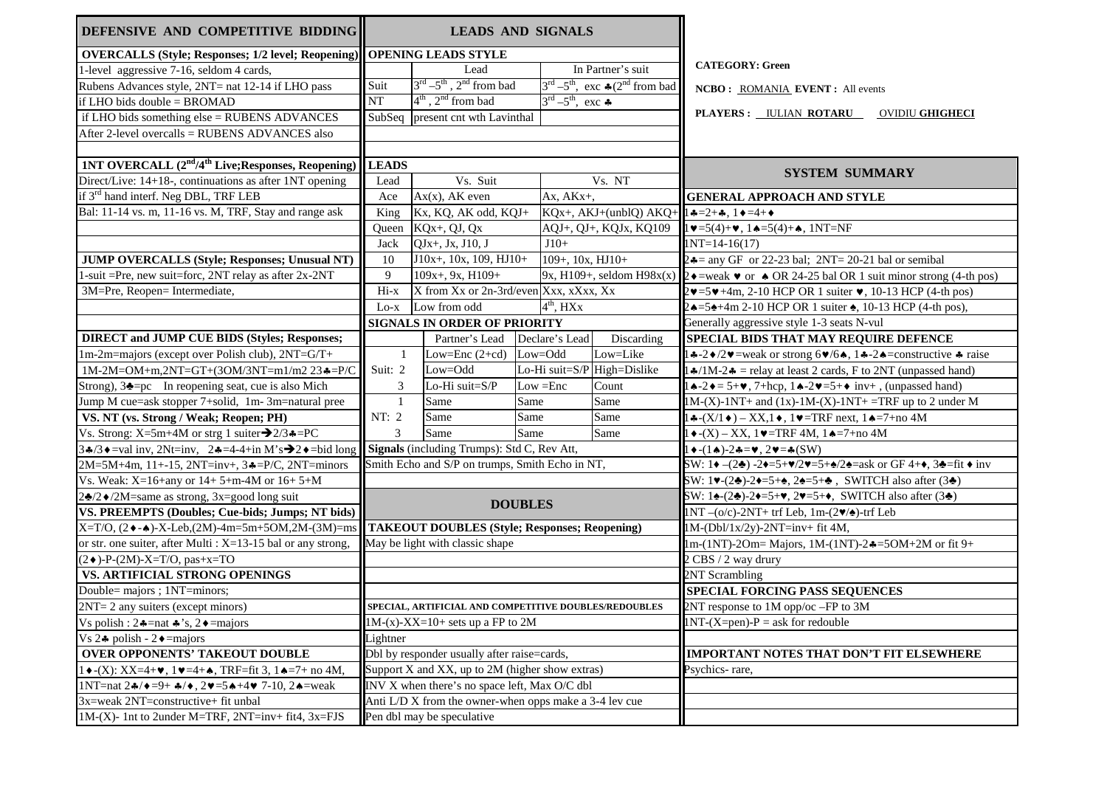| DEFENSIVE AND COMPETITIVE BIDDING                                                                         | <b>LEADS AND SIGNALS</b>                               |                                                            |                |                                                   |                                                                             |                                                                                                                              |  |
|-----------------------------------------------------------------------------------------------------------|--------------------------------------------------------|------------------------------------------------------------|----------------|---------------------------------------------------|-----------------------------------------------------------------------------|------------------------------------------------------------------------------------------------------------------------------|--|
| <b>OVERCALLS (Style; Responses; 1/2 level; Reopening)</b>                                                 | <b>OPENING LEADS STYLE</b>                             |                                                            |                |                                                   |                                                                             |                                                                                                                              |  |
| 1-level aggressive 7-16, seldom 4 cards,                                                                  |                                                        | Lead                                                       |                |                                                   | In Partner's suit                                                           | <b>CATEGORY: Green</b>                                                                                                       |  |
| Rubens Advances style, 2NT= nat 12-14 if LHO pass                                                         | Suit                                                   | $3^{\text{rd}} - 5^{\text{th}}$ , $2^{\text{nd}}$ from bad |                |                                                   | $3^{\text{rd}} - 5^{\text{th}}$ , exc $\clubsuit$ (2 <sup>nd</sup> from bad | NCBO: ROMANIA EVENT: All events                                                                                              |  |
| if LHO bids double = BROMAD                                                                               | NT                                                     | $4^{th}$ , $2^{nd}$ from bad                               |                | $3^{\text{rd}} - 5^{\text{th}}$ , exc $\clubsuit$ |                                                                             |                                                                                                                              |  |
| if LHO bids something else = RUBENS ADVANCES                                                              | SubSeq present cnt wth Lavinthal                       |                                                            |                |                                                   |                                                                             | PLAYERS: <b>IULIAN ROTARU</b><br><b>OVIDIU GHIGHECI</b>                                                                      |  |
| After 2-level overcalls = RUBENS ADVANCES also                                                            |                                                        |                                                            |                |                                                   |                                                                             |                                                                                                                              |  |
|                                                                                                           |                                                        |                                                            |                |                                                   |                                                                             |                                                                                                                              |  |
| <b>1NT OVERCALL (2<sup>nd</sup>/4<sup>th</sup> Live; Responses, Reopening)</b>                            | <b>LEADS</b>                                           |                                                            |                |                                                   |                                                                             | <b>SYSTEM SUMMARY</b>                                                                                                        |  |
| Direct/Live: 14+18-, continuations as after 1NT opening                                                   | Lead                                                   | Vs. Suit                                                   |                |                                                   | Vs. NT                                                                      |                                                                                                                              |  |
| if 3 <sup>rd</sup> hand interf. Neg DBL, TRF LEB                                                          | Ace                                                    | $Ax(x)$ , AK even                                          |                | Ax, AKx+,                                         |                                                                             | <b>GENERAL APPROACH AND STYLE</b>                                                                                            |  |
| Bal: 11-14 vs. m, 11-16 vs. M, TRF, Stay and range ask                                                    | King                                                   | Kx, KQ, AK odd, KQJ+                                       |                | KQx+, AKJ+(unblQ) AKQ+                            |                                                                             | $1 - 2 + 1$ , $1 - 4 + 1$                                                                                                    |  |
|                                                                                                           | Queen                                                  | KQx+, QJ, Qx                                               |                | AQJ+, QJ+, KQJx, KQ109                            |                                                                             | $1 \vee 5(4)+\vee$ , $1 \triangle 5(4)+\triangle$ , $1NT=NF$                                                                 |  |
|                                                                                                           | Jack                                                   | QJx+, Jx, J10, J                                           |                | $J10+$                                            |                                                                             | $1NT=14-16(17)$                                                                                                              |  |
| <b>JUMP OVERCALLS (Style; Responses; Unusual NT)</b>                                                      | 10                                                     | $J10x+$ , 10x, 109, $HJ10+$                                |                | $109+, 10x, HJ10+$                                |                                                                             | $2 - \text{any } G$ F or 22-23 bal; $2NT = 20-21$ bal or semibal                                                             |  |
| 1-suit =Pre, new suit=forc, 2NT relay as after 2x-2NT                                                     | 9                                                      | $109x + 9x$ , H $109 +$                                    |                |                                                   |                                                                             | 9x, H109+, seldom H98x(x) $\left 2\right\rangle$ =weak $\bullet$ or $\bullet$ OR 24-25 bal OR 1 suit minor strong (4-th pos) |  |
| 3M=Pre, Reopen= Intermediate,                                                                             | $Hi-x$                                                 | X from Xx or 2n-3rd/even Xxx, xXxx, Xx                     |                |                                                   |                                                                             | $2 \cdot 5 \cdot 4$ m, 2-10 HCP OR 1 suiter $\bullet$ , 10-13 HCP (4-th pos)                                                 |  |
|                                                                                                           | $_{\text{Lo-x}}$                                       | Low from odd                                               |                | $4th$ , HXx                                       |                                                                             | $2 \triangle = 5 + 4m 2 - 10$ HCP OR 1 suiter, 10-13 HCP (4-th pos),                                                         |  |
|                                                                                                           | <b>SIGNALS IN ORDER OF PRIORITY</b>                    |                                                            |                |                                                   |                                                                             | Generally aggressive style 1-3 seats N-vul                                                                                   |  |
| <b>DIRECT and JUMP CUE BIDS (Styles; Responses;</b>                                                       |                                                        | Partner's Lead                                             |                | Declare's Lead                                    | Discarding                                                                  | SPECIAL BIDS THAT MAY REQUIRE DEFENCE                                                                                        |  |
| 1m-2m=majors (except over Polish club), 2NT=G/T+                                                          | 1                                                      | Low=Enc $(2+cd)$                                           |                | Low=Odd                                           | Low=Like                                                                    |                                                                                                                              |  |
| $1M-2M=OM+m, 2NT=GT+(3OM/3NT=m1/m2 23-=P/C)$                                                              | Suit: 2                                                | Low=Odd                                                    |                |                                                   | Lo-Hi suit= $S/P$ High=Dislike                                              | $1\cdot1\cdot1\cdot1\cdot2\cdot$ = relay at least 2 cards, F to 2NT (unpassed hand)                                          |  |
| Strong), $3 = pc$ In reopening seat, cue is also Mich                                                     | 3                                                      | Lo-Hi suit=S/P                                             |                | $Low = Enc$                                       | Count                                                                       | $1 \triangle -2 \triangle = 5 + \vee$ , 7+hcp, $1 \triangle -2 \vee = 5 + \diamond$ inv+, (unpassed hand)                    |  |
| Jump M cue=ask stopper 7+solid, 1m- 3m=natural pree                                                       | $\mathbf{1}$                                           | Same                                                       | Same           |                                                   | Same                                                                        | $1M-(X)-1NT+$ and $(1x)-1M-(X)-1NT+$ =TRF up to 2 under M                                                                    |  |
| VS. NT (vs. Strong / Weak; Reopen; PH)                                                                    | NT: 2                                                  | Same                                                       | Same           |                                                   | Same                                                                        | $1 \cdot (-X/1 \cdot ) - XX, 1 \cdot , 1 \cdot = TRF$ next, $1 \cdot (-7)$ + no 4M                                           |  |
| Vs. Strong: $X=5m+4M$ or strg 1 suiter $\rightarrow 2/3 \cdot =PC$                                        | 3                                                      | Same                                                       | Same           |                                                   | Same                                                                        | $1 \bullet -(X) - XX$ , $1 \bullet = TRF$ 4M, $1 \bullet = 7 + no$ 4M                                                        |  |
| 3.4/3 $\bullet$ =val inv, 2Nt=inv, 2.4=4-4+in M's $\rightarrow$ 2.4=bid long                              |                                                        | Signals (including Trumps): Std C, Rev Att,                |                |                                                   |                                                                             | $1 \bullet -(1 \bullet) - 2 \bullet = \bullet, 2 \bullet = \bullet$ (SW)                                                     |  |
| 2M=5M+4m, 11+-15, 2NT=inv+, 3&=P/C, 2NT=minors                                                            | Smith Echo and S/P on trumps, Smith Echo in NT,        |                                                            |                |                                                   |                                                                             | SW: 1 $-(2)$ -2 =5+ /2 =5+ /2 =ask or GF 4+, 3 =fit inv                                                                      |  |
| Vs. Weak: X=16+any or 14+ 5+m-4M or 16+ 5+M                                                               |                                                        |                                                            |                |                                                   |                                                                             | SW: 1 -(2 )-2 =5+, 2 =5+, SWITCH also after (3 )                                                                             |  |
| 2 /2 $\bullet$ /2M=same as strong, 3x=good long suit                                                      |                                                        |                                                            |                |                                                   |                                                                             | SW: 1 -(2 )-2 =5+, 2 =5+, SWITCH also after (3 )                                                                             |  |
| VS. PREEMPTS (Doubles; Cue-bids; Jumps; NT bids)                                                          |                                                        |                                                            | <b>DOUBLES</b> |                                                   |                                                                             | $1NT - (o/c) - 2NT + trf Leb$ , $1m-(2 / ) - trf Leb$                                                                        |  |
| X=T/O, (2◆-◆)-X-Leb,(2M)-4m=5m+5OM,2M-(3M)=ms                                                             |                                                        | <b>TAKEOUT DOUBLES (Style; Responses; Reopening)</b>       |                |                                                   |                                                                             | $1M-(Db1/x/2y)-2NT=inv+fit4M,$                                                                                               |  |
| or str. one suiter, after Multi : $X=13-15$ bal or any strong,                                            | May be light with classic shape                        |                                                            |                |                                                   |                                                                             | 1m-(1NT)-2Om= Majors, 1M-(1NT)-2 $\clubsuit$ =5OM+2M or fit 9+                                                               |  |
| $(2\bullet)$ -P- $(2M)$ -X=T/O, pas+x=TO                                                                  |                                                        |                                                            |                |                                                   |                                                                             | 2 CBS / 2 way drury                                                                                                          |  |
| VS. ARTIFICIAL STRONG OPENINGS                                                                            |                                                        |                                                            |                |                                                   |                                                                             | 2NT Scrambling                                                                                                               |  |
| Double= majors; 1NT=minors;                                                                               |                                                        |                                                            |                |                                                   |                                                                             | <b>SPECIAL FORCING PASS SEQUENCES</b>                                                                                        |  |
| $2NT = 2$ any suiters (except minors)                                                                     |                                                        | SPECIAL, ARTIFICIAL AND COMPETITIVE DOUBLES/REDOUBLES      |                |                                                   |                                                                             | 2NT response to 1M opp/oc -FP to 3M                                                                                          |  |
| Vs polish : $2 \triangleq$ =nat $\triangleq$ 's, $2 \triangleq$ =majors                                   |                                                        | $1M-(x)-XX=10+$ sets up a FP to 2M                         |                |                                                   |                                                                             | $1NT-(X=pen)-P = ask for reduble$                                                                                            |  |
| Vs $2\bullet$ polish - $2\bullet$ = majors                                                                | Lightner                                               |                                                            |                |                                                   |                                                                             |                                                                                                                              |  |
| <b>OVER OPPONENTS' TAKEOUT DOUBLE</b>                                                                     | Dbl by responder usually after raise=cards,            |                                                            |                |                                                   |                                                                             | <b>IMPORTANT NOTES THAT DON'T FIT ELSEWHERE</b>                                                                              |  |
| $1 \cdot (X)$ : XX=4+ $\cdot$ , 1 $\cdot$ =4+ $\cdot$ , TRF=fit 3, 1 $\cdot$ =7+ no 4M,                   | Support X and XX, up to 2M (higher show extras)        |                                                            |                |                                                   |                                                                             | Psychics-rare,                                                                                                               |  |
| 1NT=nat $2\frac{4}{9}$ + =9+ $\frac{4}{9}$ , $2\frac{4}{9}$ =5 $\frac{444}{9}$ 7-10, $2\frac{4}{9}$ =weak | INV X when there's no space left, Max O/C dbl          |                                                            |                |                                                   |                                                                             |                                                                                                                              |  |
| 3x=weak 2NT=constructive+ fit unbal                                                                       | Anti L/D X from the owner-when opps make a 3-4 lev cue |                                                            |                |                                                   |                                                                             |                                                                                                                              |  |
| $1M-(X)$ - 1nt to 2under M=TRF, 2NT=inv+ fit4, 3x=FJS                                                     |                                                        | Pen dbl may be speculative                                 |                |                                                   |                                                                             |                                                                                                                              |  |